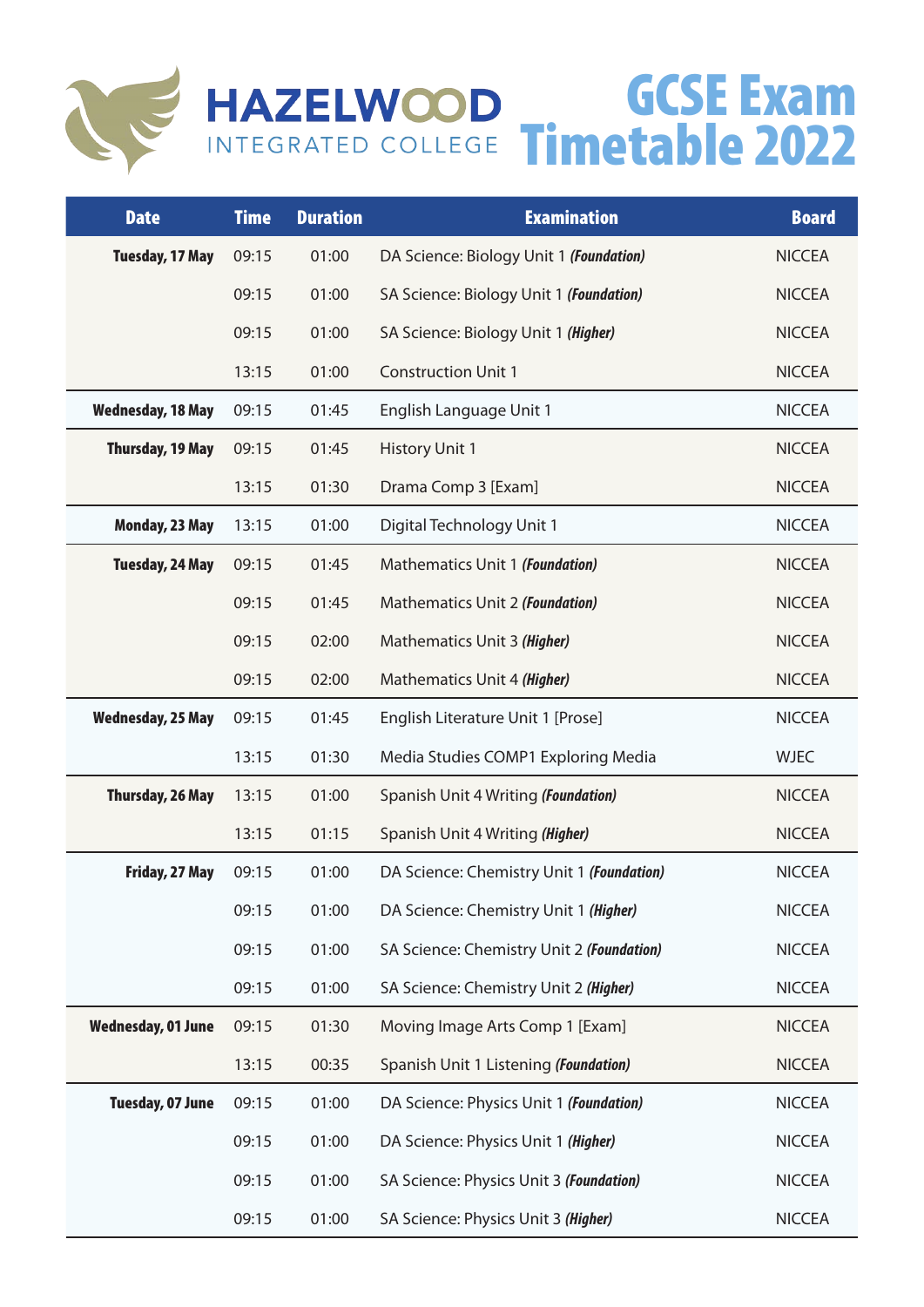

## GCSE Exam Timetable 2022

| <b>Date</b>               | <b>Time</b> | <b>Duration</b> | <b>Examination</b>                        | <b>Board</b>  |
|---------------------------|-------------|-----------------|-------------------------------------------|---------------|
| <b>Tuesday, 17 May</b>    | 09:15       | 01:00           | DA Science: Biology Unit 1 (Foundation)   | <b>NICCEA</b> |
|                           | 09:15       | 01:00           | SA Science: Biology Unit 1 (Foundation)   | <b>NICCEA</b> |
|                           | 09:15       | 01:00           | SA Science: Biology Unit 1 (Higher)       | <b>NICCEA</b> |
|                           | 13:15       | 01:00           | <b>Construction Unit 1</b>                | <b>NICCEA</b> |
| <b>Wednesday, 18 May</b>  | 09:15       | 01:45           | English Language Unit 1                   | <b>NICCEA</b> |
| <b>Thursday, 19 May</b>   | 09:15       | 01:45           | <b>History Unit 1</b>                     | <b>NICCEA</b> |
|                           | 13:15       | 01:30           | Drama Comp 3 [Exam]                       | <b>NICCEA</b> |
| Monday, 23 May            | 13:15       | 01:00           | Digital Technology Unit 1                 | <b>NICCEA</b> |
| <b>Tuesday, 24 May</b>    | 09:15       | 01:45           | Mathematics Unit 1 (Foundation)           | <b>NICCEA</b> |
|                           | 09:15       | 01:45           | Mathematics Unit 2 (Foundation)           | <b>NICCEA</b> |
|                           | 09:15       | 02:00           | Mathematics Unit 3 (Higher)               | <b>NICCEA</b> |
|                           | 09:15       | 02:00           | Mathematics Unit 4 (Higher)               | <b>NICCEA</b> |
| <b>Wednesday, 25 May</b>  | 09:15       | 01:45           | English Literature Unit 1 [Prose]         | <b>NICCEA</b> |
|                           | 13:15       | 01:30           | Media Studies COMP1 Exploring Media       | <b>WJEC</b>   |
| Thursday, 26 May          | 13:15       | 01:00           | Spanish Unit 4 Writing (Foundation)       | <b>NICCEA</b> |
|                           | 13:15       | 01:15           | Spanish Unit 4 Writing (Higher)           | <b>NICCEA</b> |
| Friday, 27 May            | 09:15       | 01:00           | DA Science: Chemistry Unit 1 (Foundation) | <b>NICCEA</b> |
|                           | 09:15       | 01:00           | DA Science: Chemistry Unit 1 (Higher)     | <b>NICCEA</b> |
|                           | 09:15       | 01:00           | SA Science: Chemistry Unit 2 (Foundation) | <b>NICCEA</b> |
|                           | 09:15       | 01:00           | SA Science: Chemistry Unit 2 (Higher)     | <b>NICCEA</b> |
| <b>Wednesday, 01 June</b> | 09:15       | 01:30           | Moving Image Arts Comp 1 [Exam]           | <b>NICCEA</b> |
|                           | 13:15       | 00:35           | Spanish Unit 1 Listening (Foundation)     | <b>NICCEA</b> |
| Tuesday, 07 June          | 09:15       | 01:00           | DA Science: Physics Unit 1 (Foundation)   | <b>NICCEA</b> |
|                           | 09:15       | 01:00           | DA Science: Physics Unit 1 (Higher)       | <b>NICCEA</b> |
|                           | 09:15       | 01:00           | SA Science: Physics Unit 3 (Foundation)   | <b>NICCEA</b> |
|                           | 09:15       | 01:00           | SA Science: Physics Unit 3 (Higher)       | <b>NICCEA</b> |